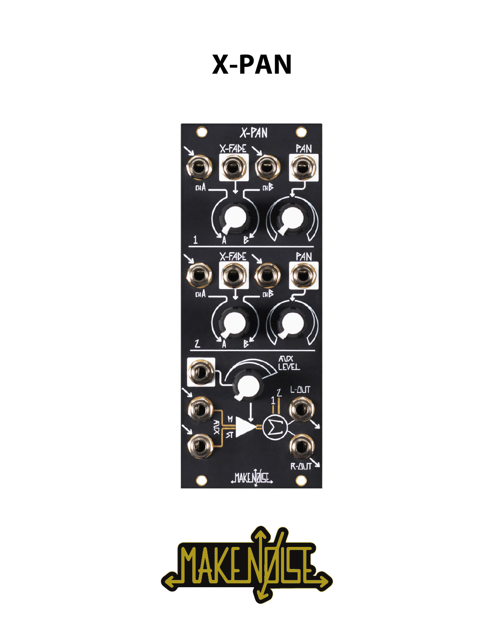# **X-PAN**



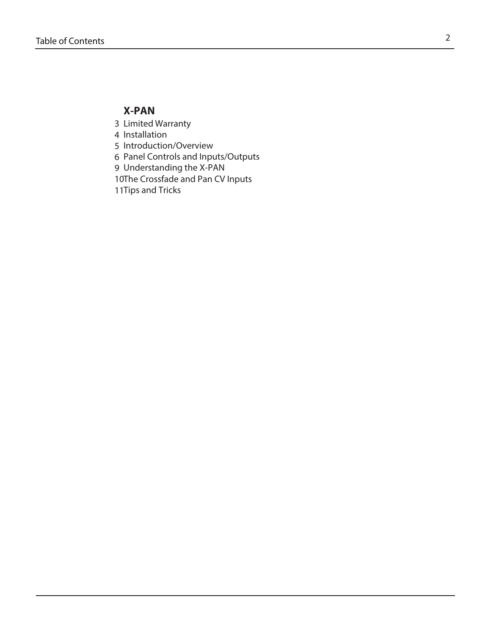# **X-PAN**

- Limited Warranty 3
- 4 Installation
- 5 Introduction/Overview
- Panel Controls and Inputs/Outputs 6
- Understanding the X-PAN 9
- 10The Crossfade and Pan CV Inputs
- 11 Tips and Tricks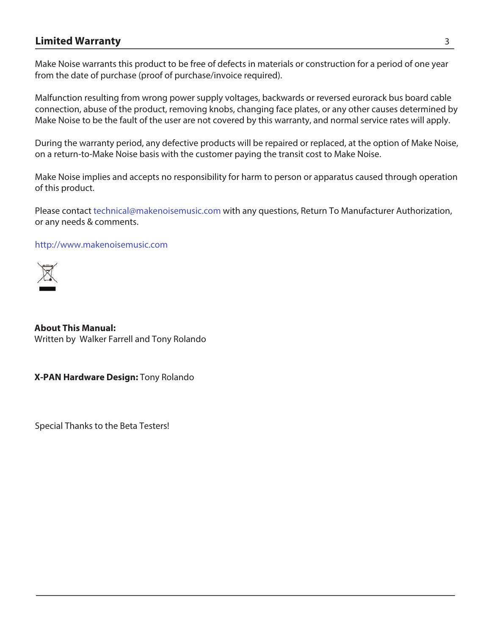# **Limited Warranty** 3

Make Noise warrants this product to be free of defects in materials or construction for a period of one year from the date of purchase (proof of purchase/invoice required).

Malfunction resulting from wrong power supply voltages, backwards or reversed eurorack bus board cable connection, abuse of the product, removing knobs, changing face plates, or any other causes determined by Make Noise to be the fault of the user are not covered by this warranty, and normal service rates will apply.

During the warranty period, any defective products will be repaired or replaced, at the option of Make Noise, on a return-to-Make Noise basis with the customer paying the transit cost to Make Noise.

Make Noise implies and accepts no responsibility for harm to person or apparatus caused through operation of this product.

Please contact technical@makenoisemusic.com with any questions, Return To Manufacturer Authorization, or any needs & comments.

http://www.makenoisemusic.com



**About This Manual:** Written by Walker Farrell and Tony Rolando

**X-PAN Hardware Design:** Tony Rolando

Special Thanks to the Beta Testers!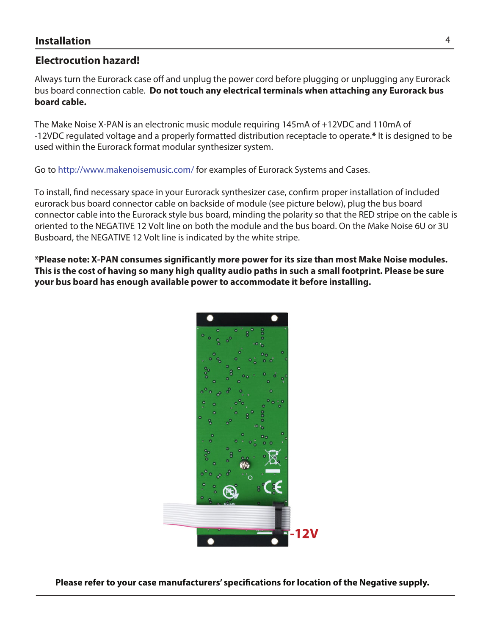# **Electrocution hazard!**

Always turn the Eurorack case off and unplug the power cord before plugging or unplugging any Eurorack bus board connection cable. **Do not touch any electrical terminals when attaching any Eurorack bus board cable.** 

The Make Noise X-PAN is an electronic music module requiring 145mA of +12VDC and 110mA of -12VDC regulated voltage and a properly formatted distribution receptacle to operate.**\*** It is designed to be used within the Eurorack format modular synthesizer system.

Go to http://www.makenoisemusic.com/ for examples of Eurorack Systems and Cases.

To install, fnd necessary space in your Eurorack synthesizer case, confrm proper installation of included eurorack bus board connector cable on backside of module (see picture below), plug the bus board connector cable into the Eurorack style bus board, minding the polarity so that the RED stripe on the cable is oriented to the NEGATIVE 12 Volt line on both the module and the bus board. On the Make Noise 6U or 3U Busboard, the NEGATIVE 12 Volt line is indicated by the white stripe.

**\*Please note: X-PAN consumes significantly more power for its size than most Make Noise modules. This is the cost of having so many high quality audio paths in such a small footprint. Please be sure your bus board has enough available power to accommodate it before installing.**



**Please refer to your case manufacturers' specifcations for location of the Negative supply.**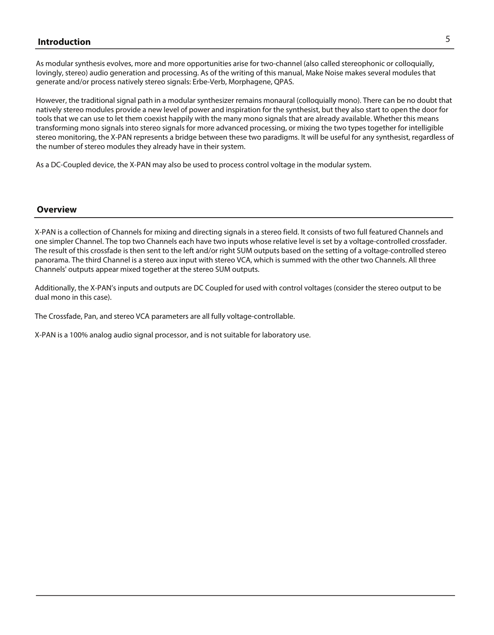# 5 **\*OUSPEVDUJPO**

As modular synthesis evolves, more and more opportunities arise for two-channel (also called stereophonic or colloquially, lovingly, stereo) audio generation and processing. As of the writing of this manual, Make Noise makes several modules that generate and/or process natively stereo signals: Erbe-Verb, Morphagene, QPAS.

However, the traditional signal path in a modular synthesizer remains monaural (colloquially mono). There can be no doubt that natively stereo modules provide a new level of power and inspiration for the synthesist, but they also start to open the door for tools that we can use to let them coexist happily with the many mono signals that are already available. Whether this means transforming mono signals into stereo signals for more advanced processing, or mixing the two types together for intelligible stereo monitoring, the X-PAN represents a bridge between these two paradigms. It will be useful for any synthesist, regardless of the number of stereo modules they already have in their system.

As a DC-Coupled device, the X-PAN may also be used to process control voltage in the modular system.

#### **Overview**

X-PAN is a collection of Channels for mixing and directing signals in a stereo field. It consists of two full featured Channels and one simpler Channel. The top two Channels each have two inputs whose relative level is set by a voltage-controlled crossfader. The result of this crossfade is then sent to the left and/or right SUM outputs based on the setting of a voltage-controlled stereo panorama. The third Channel is a stereo aux input with stereo VCA, which is summed with the other two Channels. All three Channels' outputs appear mixed together at the stereo SUM outputs.

Additionally, the X-PAN's inputs and outputs are DC Coupled for used with control voltages (consider the stereo output to be dual mono in this case).

The Crossfade, Pan, and stereo VCA parameters are all fully voltage-controllable.

X-PAN is a 100% analog audio signal processor, and is not suitable for laboratory use.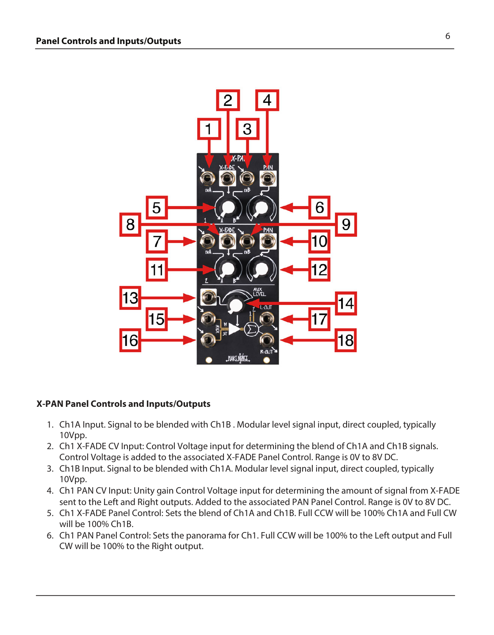

## $X$ -PAN Panel Controls and Inputs/Outputs

- 1. Ch1A Input. Signal to be blended with Ch1B . Modular level signal input, direct coupled, typically 10Vpp.
- 2. Ch1 X-FADE CV Input: Control Voltage input for determining the blend of Ch1A and Ch1B signals. Control Voltage is added to the associated X-FADE Panel Control. Range is 0V to 8V DC.
- 3. Ch1B Input. Signal to be blended with Ch1A. Modular level signal input, direct coupled, typically 10Vpp.
- 4. Ch1 PAN CV Input: Unity gain Control Voltage input for determining the amount of signal from X-FADE sent to the Left and Right outputs. Added to the associated PAN Panel Control. Range is 0V to 8V DC.
- 5. Ch1 X-FADE Panel Control: Sets the blend of Ch1A and Ch1B. Full CCW will be 100% Ch1A and Full CW will be 100% Ch1B.
- 6. Ch1 PAN Panel Control: Sets the panorama for Ch1. Full CCW will be 100% to the Left output and Full CW will be 100% to the Right output.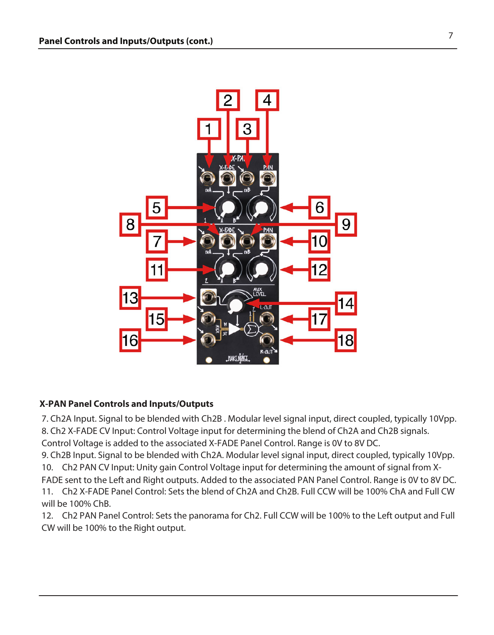

## **X-PAN Panel Controls and Inputs/Outputs**

7. Ch2A Input. Signal to be blended with Ch2B . Modular level signal input, direct coupled, typically 10Vpp. 8. Ch2 X-FADE CV Input: Control Voltage input for determining the blend of Ch2A and Ch2B signals.

Control Voltage is added to the associated X-FADE Panel Control. Range is 0V to 8V DC. 9. Ch2B Input. Signal to be blended with Ch2A. Modular level signal input, direct coupled, typically 10Vpp.

10. Ch2 PAN CV Input: Unity gain Control Voltage input for determining the amount of signal from X-

FADE sent to the Left and Right outputs. Added to the associated PAN Panel Control. Range is 0V to 8V DC. 11. Ch2 X-FADE Panel Control: Sets the blend of Ch2A and Ch2B. Full CCW will be 100% ChA and Full CW will be 100% ChB.

12. Ch2 PAN Panel Control: Sets the panorama for Ch2. Full CCW will be 100% to the Left output and Full CW will be 100% to the Right output.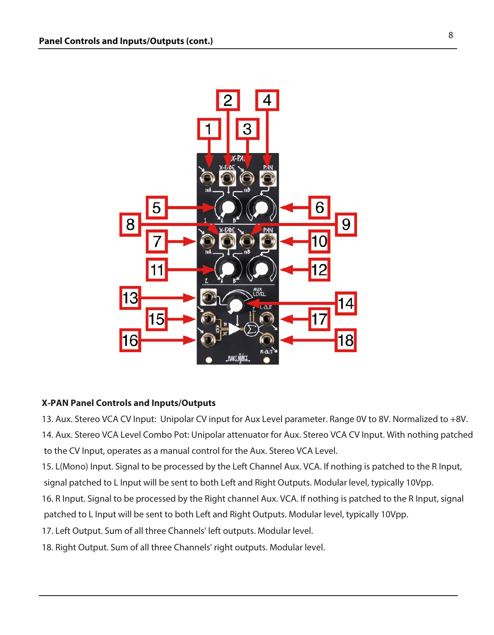

## **X-PAN Panel Controls and Inputs/Outputs**

13. Aux. Stereo VCA CV Input: Unipolar CV input for Aux Level parameter. Range 0V to 8V. Normalized to +8V. 14. Aux. Stereo VCA Level Combo Pot: Unipolar attenuator for Aux. Stereo VCA CV Input. With nothing patched to the CV Input, operates as a manual control for the Aux. Stereo VCA Level.

15. L(Mono) Input. Signal to be processed by the Left Channel Aux. VCA. If nothing is patched to the R Input, signal patched to L Input will be sent to both Left and Right Outputs. Modular level, typically 10Vpp.

16. R Input. Signal to be processed by the Right channel Aux. VCA. If nothing is patched to the R Input, signal patched to L Input will be sent to both Left and Right Outputs. Modular level, typically 10Vpp.

17. Left Output. Sum of all three Channels' left outputs. Modular level.

18. Right Output. Sum of all three Channels' right outputs. Modular level.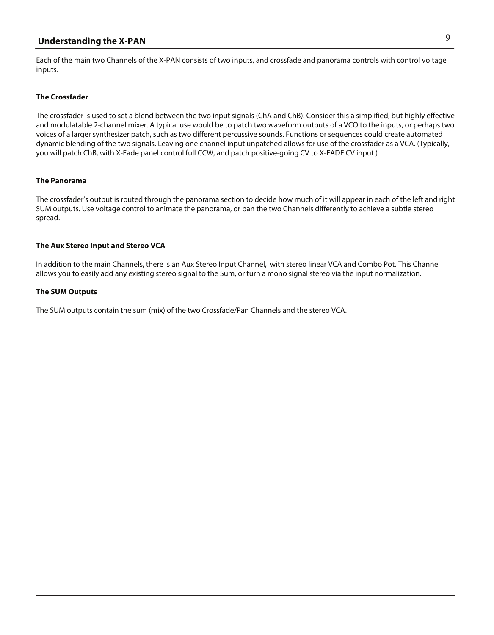# 9 **Understanding the X-PAN**

Each of the main two Channels of the X-PAN consists of two inputs, and crossfade and panorama controls with control voltage inputs.

#### **The Crossfader**

The crossfader is used to set a blend between the two input signals (ChA and ChB). Consider this a simplified, but highly effective and modulatable 2-channel mixer. A typical use would be to patch two waveform outputs of a VCO to the inputs, or perhaps two voices of a larger synthesizer patch, such as two different percussive sounds. Functions or sequences could create automated dynamic blending of the two signals. Leaving one channel input unpatched allows for use of the crossfader as a VCA. (Typically, you will patch ChB, with X-Fade panel control full CCW, and patch positive-going CV to X-FADE CV input.)

#### **The Panorama**

The crossfader's output is routed through the panorama section to decide how much of it will appear in each of the left and right SUM outputs. Use voltage control to animate the panorama, or pan the two Channels differently to achieve a subtle stereo spread.

#### **The Aux Stereo Input and Stereo VCA**

In addition to the main Channels, there is an Aux Stereo Input Channel, with stereo linear VCA and Combo Pot. This Channel allows you to easily add any existing stereo signal to the Sum, or turn a mono signal stereo via the input normalization.

#### **The SUM Outputs**

The SUM outputs contain the sum (mix) of the two Crossfade/Pan Channels and the stereo VCA.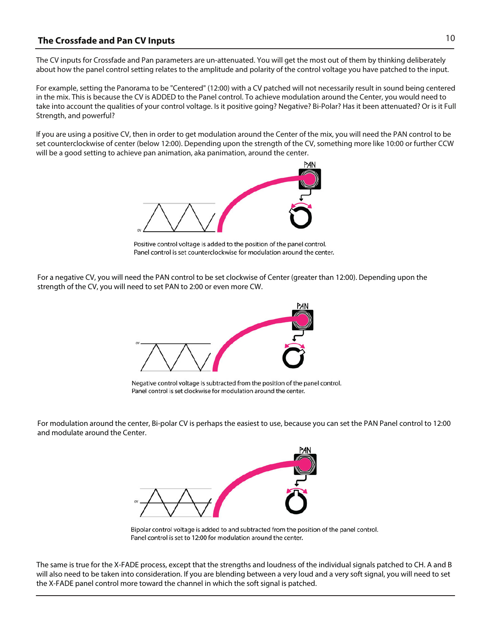## 10 **The Crossfade and Pan CV Inputs**

The CV inputs for Crossfade and Pan parameters are un-attenuated. You will get the most out of them by thinking deliberately about how the panel control setting relates to the amplitude and polarity of the control voltage you have patched to the input.

For example, setting the Panorama to be "Centered" (12:00) with a CV patched will not necessarily result in sound being centered in the mix. This is because the CV is ADDED to the Panel control. To achieve modulation around the Center, you would need to take into account the qualities of your control voltage. Is it positive going? Negative? Bi-Polar? Has it been attenuated? Or is it Full Strength, and powerful?

If you are using a positive CV, then in order to get modulation around the Center of the mix, you will need the PAN control to be set counterclockwise of center (below 12:00). Depending upon the strength of the CV, something more like 10:00 or further CCW will be a good setting to achieve pan animation, aka panimation, around the center.



Positive control voltage is added to the position of the panel control. Panel control is set counterclockwise for modulation around the center.

For a negative CV, you will need the PAN control to be set clockwise of Center (greater than 12:00). Depending upon the strength of the CV, you will need to set PAN to 2:00 or even more CW.



Negative control voltage is subtracted from the position of the panel control. Panel control is set clockwise for modulation around the center.

For modulation around the center, Bi-polar CV is perhaps the easiest to use, because you can set the PAN Panel control to 12:00 and modulate around the Center.



Bipolar control voltage is added to and subtracted from the position of the panel control. Panel control is set to 12:00 for modulation around the center.

The same is true for the X-FADE process, except that the strengths and loudness of the individual signals patched to CH. A and B will also need to be taken into consideration. If you are blending between a very loud and a very soft signal, you will need to set the X-FADE panel control more toward the channel in which the soft signal is patched.